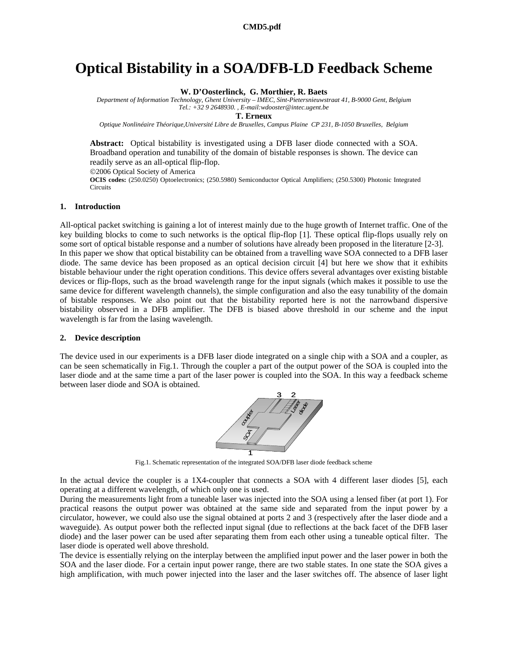# **Optical Bistability in a SOA/DFB-LD Feedback Scheme**

**W. D'Oosterlinck, G. Morthier, R. Baets** 

*Department of Information Technology, Ghent University – IMEC, Sint-Pietersnieuwstraat 41, B-9000 Gent, Belgium Tel.: +32 9 2648930. , E-mail:wdooster@intec.ugent.be* 

**T. Erneux**

*Optique Nonlinéaire Théorique,Université Libre de Bruxelles, Campus Plaine CP 231, B-1050 Bruxelles, Belgium* 

**Abstract:** Optical bistability is investigated using a DFB laser diode connected with a SOA. Broadband operation and tunability of the domain of bistable responses is shown. The device can readily serve as an all-optical flip-flop.

©2006 Optical Society of America

**OCIS codes:** (250.0250) Optoelectronics; (250.5980) Semiconductor Optical Amplifiers; (250.5300) Photonic Integrated **Circuits** 

## **1. Introduction**

All-optical packet switching is gaining a lot of interest mainly due to the huge growth of Internet traffic. One of the key building blocks to come to such networks is the optical flip-flop [1]. These optical flip-flops usually rely on some sort of optical bistable response and a number of solutions have already been proposed in the literature [2-3]. In this paper we show that optical bistability can be obtained from a travelling wave SOA connected to a DFB laser diode. The same device has been proposed as an optical decision circuit [4] but here we show that it exhibits bistable behaviour under the right operation conditions. This device offers several advantages over existing bistable devices or flip-flops, such as the broad wavelength range for the input signals (which makes it possible to use the same device for different wavelength channels), the simple configuration and also the easy tunability of the domain of bistable responses. We also point out that the bistability reported here is not the narrowband dispersive bistability observed in a DFB amplifier. The DFB is biased above threshold in our scheme and the input wavelength is far from the lasing wavelength.

### **2. Device description**

The device used in our experiments is a DFB laser diode integrated on a single chip with a SOA and a coupler, as can be seen schematically in Fig.1. Through the coupler a part of the output power of the SOA is coupled into the laser diode and at the same time a part of the laser power is coupled into the SOA. In this way a feedback scheme between laser diode and SOA is obtained.



Fig.1. Schematic representation of the integrated SOA/DFB laser diode feedback scheme

In the actual device the coupler is a 1X4-coupler that connects a SOA with 4 different laser diodes [5], each operating at a different wavelength, of which only one is used.

During the measurements light from a tuneable laser was injected into the SOA using a lensed fiber (at port 1). For practical reasons the output power was obtained at the same side and separated from the input power by a circulator, however, we could also use the signal obtained at ports 2 and 3 (respectively after the laser diode and a waveguide). As output power both the reflected input signal (due to reflections at the back facet of the DFB laser diode) and the laser power can be used after separating them from each other using a tuneable optical filter. The laser diode is operated well above threshold.

The device is essentially relying on the interplay between the amplified input power and the laser power in both the SOA and the laser diode. For a certain input power range, there are two stable states. In one state the SOA gives a high amplification, with much power injected into the laser and the laser switches off. The absence of laser light